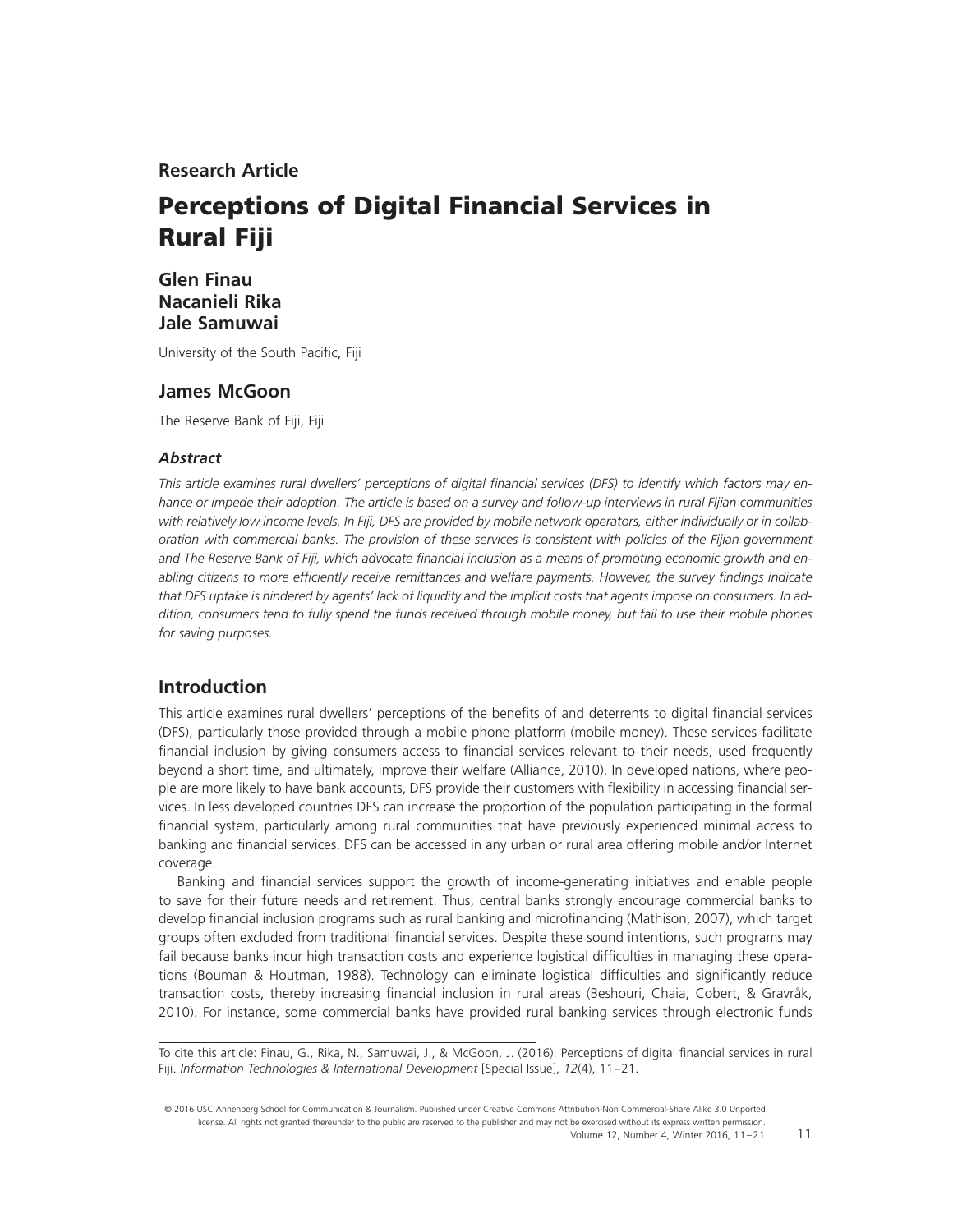**Research Article**

# **Perceptions of Digital Financial Services in Rural Fiji**

# **Glen Finau Nacanieli Rika Jale Samuwai**

University of the South Pacific, Fiji

## **James McGoon**

The Reserve Bank of Fiji, Fiji

## *Abstract*

This article examines rural dwellers' perceptions of digital financial services (DFS) to identify which factors may en*hance or impede their adoption. The article is based on a survey and follow-up interviews in rural Fijian communities with relatively low income levels. In Fiji, DFS are provided by mobile network operators, either individually or in collaboration with commercial banks. The provision of these services is consistent with policies of the Fijian government* and The Reserve Bank of Fiji, which advocate financial inclusion as a means of promoting economic growth and enabling citizens to more efficiently receive remittances and welfare payments. However, the survey findings indicate *that DFS uptake is hindered by agents' lack of liquidity and the implicit costs that agents impose on consumers. In addition, consumers tend to fully spend the funds received through mobile money, but fail to use their mobile phones for saving purposes.*

# **Introduction**

This article examines rural dwellers' perceptions of the benefits of and deterrents to digital financial services (DFS), particularly those provided through a mobile phone platform (mobile money). These services facilitate financial inclusion by giving consumers access to financial services relevant to their needs, used frequently beyond a short time, and ultimately, improve their welfare (Alliance, 2010). In developed nations, where people are more likely to have bank accounts, DFS provide their customers with flexibility in accessing financial services. In less developed countries DFS can increase the proportion of the population participating in the formal financial system, particularly among rural communities that have previously experienced minimal access to banking and financial services. DFS can be accessed in any urban or rural area offering mobile and/or Internet coverage.

Banking and financial services support the growth of income-generating initiatives and enable people to save for their future needs and retirement. Thus, central banks strongly encourage commercial banks to develop financial inclusion programs such as rural banking and microfinancing (Mathison, 2007), which target groups often excluded from traditional financial services. Despite these sound intentions, such programs may fail because banks incur high transaction costs and experience logistical difficulties in managing these operations (Bouman & Houtman, 1988). Technology can eliminate logistical difficulties and significantly reduce transaction costs, thereby increasing financial inclusion in rural areas (Beshouri, Chaia, Cobert, & Gravråk, 2010). For instance, some commercial banks have provided rural banking services through electronic funds

To cite this article: Finau, G., Rika, N., Samuwai, J., & McGoon, J. (2016). Perceptions of digital financial services in rural Fiji. *Information Technologies & International Development* [Special Issue], *12*(4), 11–21.

© 2016 USC Annenberg School for Communication & Journalism. Published under Creative Commons Attribution-Non Commercial-Share Alike 3.0 Unported license. All rights not granted thereunder to the public are reserved to the publisher and may not be exercised without its express written permission. Volume 12, Number 4, Winter 2016, 11–21

11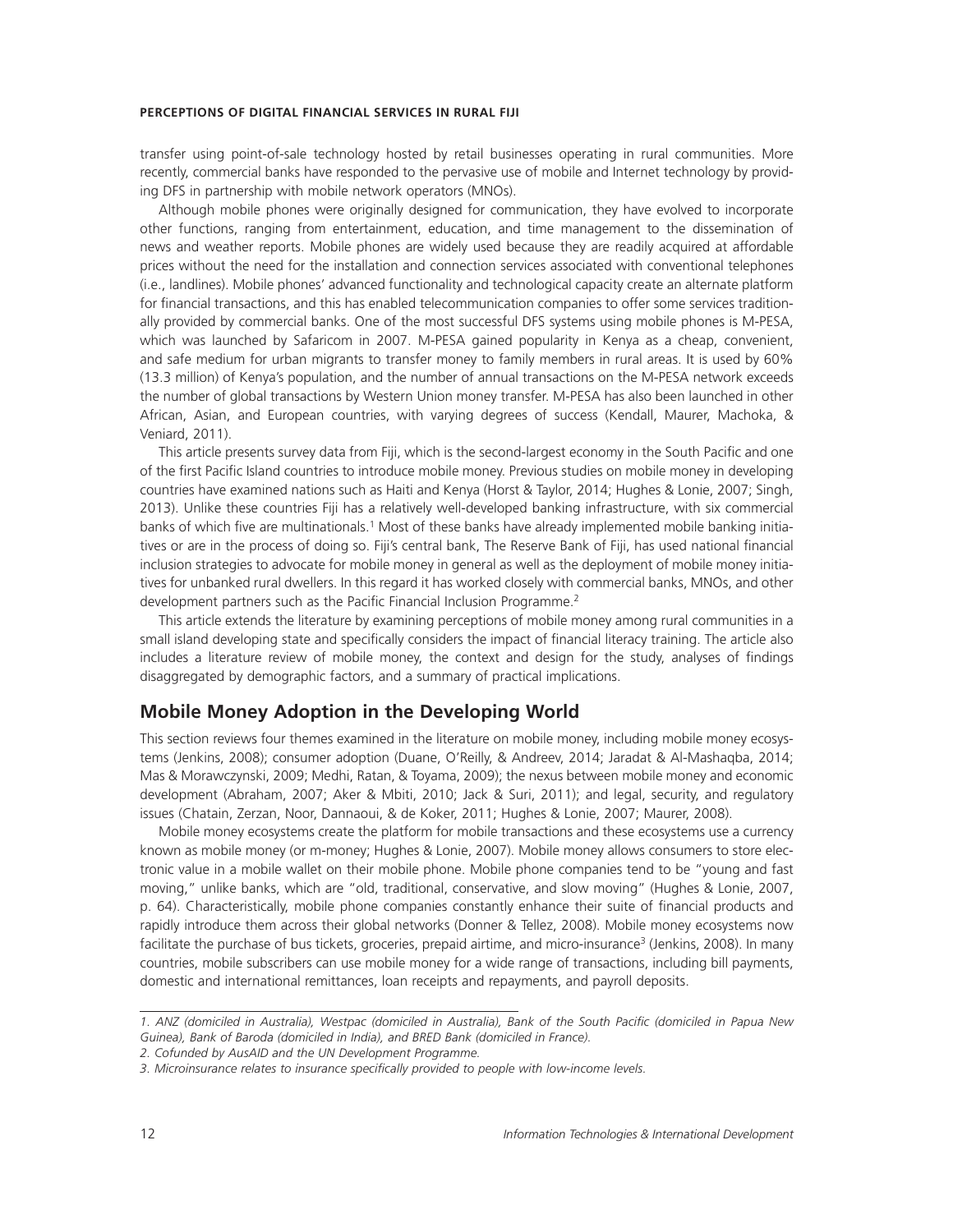transfer using point-of-sale technology hosted by retail businesses operating in rural communities. More recently, commercial banks have responded to the pervasive use of mobile and Internet technology by providing DFS in partnership with mobile network operators (MNOs).

Although mobile phones were originally designed for communication, they have evolved to incorporate other functions, ranging from entertainment, education, and time management to the dissemination of news and weather reports. Mobile phones are widely used because they are readily acquired at affordable prices without the need for the installation and connection services associated with conventional telephones (i.e., landlines). Mobile phones' advanced functionality and technological capacity create an alternate platform for financial transactions, and this has enabled telecommunication companies to offer some services traditionally provided by commercial banks. One of the most successful DFS systems using mobile phones is M-PESA, which was launched by Safaricom in 2007. M-PESA gained popularity in Kenya as a cheap, convenient, and safe medium for urban migrants to transfer money to family members in rural areas. It is used by 60% (13.3 million) of Kenya's population, and the number of annual transactions on the M-PESA network exceeds the number of global transactions by Western Union money transfer. M-PESA has also been launched in other African, Asian, and European countries, with varying degrees of success (Kendall, Maurer, Machoka, & Veniard, 2011).

This article presents survey data from Fiji, which is the second-largest economy in the South Pacific and one of the first Pacific Island countries to introduce mobile money. Previous studies on mobile money in developing countries have examined nations such as Haiti and Kenya (Horst & Taylor, 2014; Hughes & Lonie, 2007; Singh, 2013). Unlike these countries Fiji has a relatively well-developed banking infrastructure, with six commercial banks of which five are multinationals.<sup>1</sup> Most of these banks have already implemented mobile banking initiatives or are in the process of doing so. Fiji's central bank, The Reserve Bank of Fiji, has used national financial inclusion strategies to advocate for mobile money in general as well as the deployment of mobile money initiatives for unbanked rural dwellers. In this regard it has worked closely with commercial banks, MNOs, and other development partners such as the Pacific Financial Inclusion Programme.<sup>2</sup>

This article extends the literature by examining perceptions of mobile money among rural communities in a small island developing state and specifically considers the impact of financial literacy training. The article also includes a literature review of mobile money, the context and design for the study, analyses of findings disaggregated by demographic factors, and a summary of practical implications.

## **Mobile Money Adoption in the Developing World**

This section reviews four themes examined in the literature on mobile money, including mobile money ecosystems (Jenkins, 2008); consumer adoption (Duane, O'Reilly, & Andreev, 2014; Jaradat & Al-Mashaqba, 2014; Mas & Morawczynski, 2009; Medhi, Ratan, & Toyama, 2009); the nexus between mobile money and economic development (Abraham, 2007; Aker & Mbiti, 2010; Jack & Suri, 2011); and legal, security, and regulatory issues (Chatain, Zerzan, Noor, Dannaoui, & de Koker, 2011; Hughes & Lonie, 2007; Maurer, 2008).

Mobile money ecosystems create the platform for mobile transactions and these ecosystems use a currency known as mobile money (or m-money; Hughes & Lonie, 2007). Mobile money allows consumers to store electronic value in a mobile wallet on their mobile phone. Mobile phone companies tend to be "young and fast moving," unlike banks, which are "old, traditional, conservative, and slow moving" (Hughes & Lonie, 2007, p. 64). Characteristically, mobile phone companies constantly enhance their suite of financial products and rapidly introduce them across their global networks (Donner & Tellez, 2008). Mobile money ecosystems now facilitate the purchase of bus tickets, groceries, prepaid airtime, and micro-insurance<sup>3</sup> (Jenkins, 2008). In many countries, mobile subscribers can use mobile money for a wide range of transactions, including bill payments, domestic and international remittances, loan receipts and repayments, and payroll deposits.

<sup>1.</sup> ANZ (domiciled in Australia), Westpac (domiciled in Australia), Bank of the South Pacific (domiciled in Papua New *Guinea), Bank of Baroda (domiciled in India), and BRED Bank (domiciled in France).*

*<sup>2.</sup> Cofunded by AusAID and the UN Development Programme.*

<sup>3.</sup> Microinsurance relates to insurance specifically provided to people with low-income levels.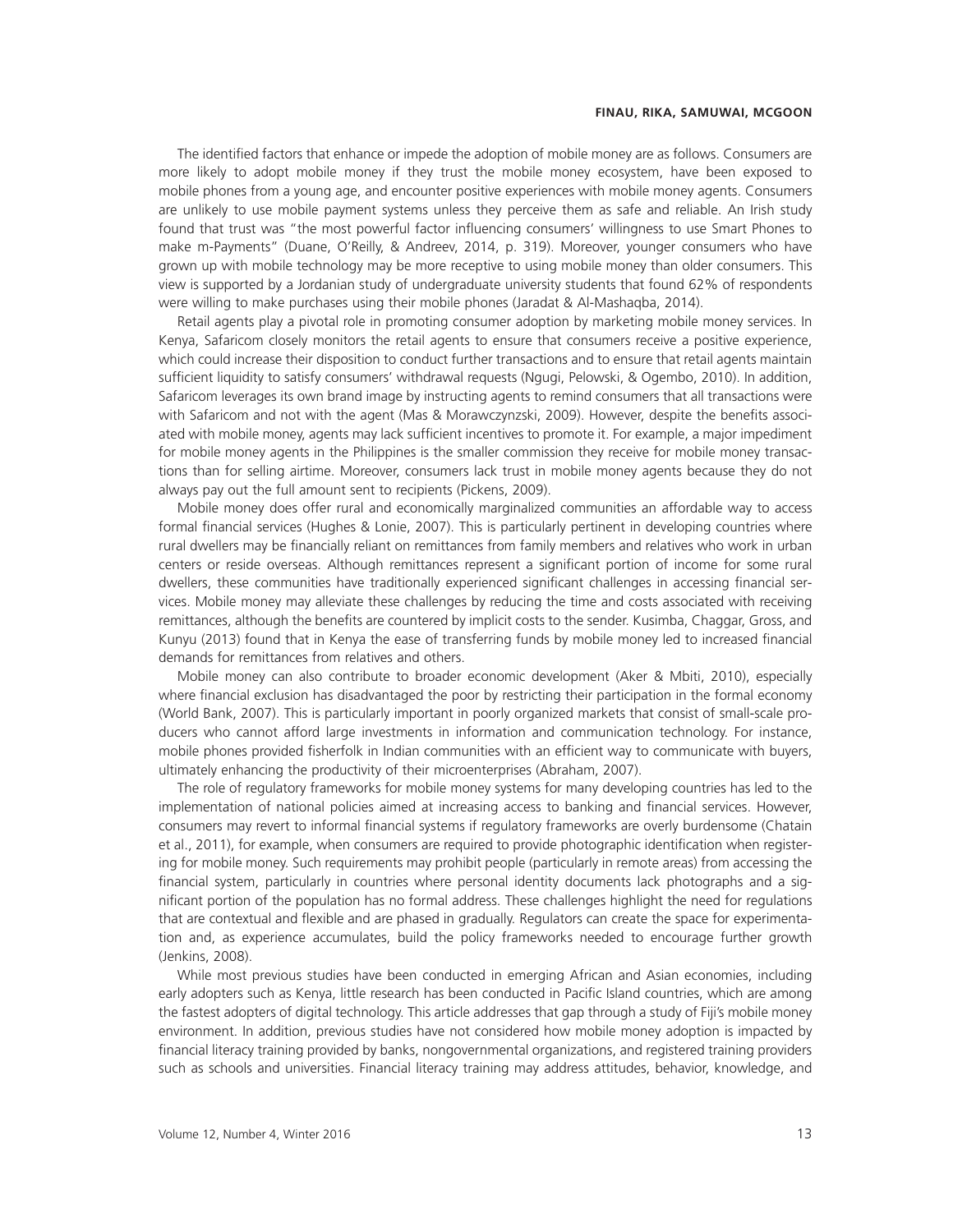The identified factors that enhance or impede the adoption of mobile money are as follows. Consumers are more likely to adopt mobile money if they trust the mobile money ecosystem, have been exposed to mobile phones from a young age, and encounter positive experiences with mobile money agents. Consumers are unlikely to use mobile payment systems unless they perceive them as safe and reliable. An Irish study found that trust was "the most powerful factor influencing consumers' willingness to use Smart Phones to make m-Payments" (Duane, O'Reilly, & Andreev, 2014, p. 319). Moreover, younger consumers who have grown up with mobile technology may be more receptive to using mobile money than older consumers. This view is supported by a Jordanian study of undergraduate university students that found 62% of respondents were willing to make purchases using their mobile phones (Jaradat & Al-Mashaqba, 2014).

Retail agents play a pivotal role in promoting consumer adoption by marketing mobile money services. In Kenya, Safaricom closely monitors the retail agents to ensure that consumers receive a positive experience, which could increase their disposition to conduct further transactions and to ensure that retail agents maintain sufficient liquidity to satisfy consumers' withdrawal requests (Ngugi, Pelowski, & Ogembo, 2010). In addition, Safaricom leverages its own brand image by instructing agents to remind consumers that all transactions were with Safaricom and not with the agent (Mas & Morawczynzski, 2009). However, despite the benefits associated with mobile money, agents may lack sufficient incentives to promote it. For example, a major impediment for mobile money agents in the Philippines is the smaller commission they receive for mobile money transactions than for selling airtime. Moreover, consumers lack trust in mobile money agents because they do not always pay out the full amount sent to recipients (Pickens, 2009).

Mobile money does offer rural and economically marginalized communities an affordable way to access formal financial services (Hughes & Lonie, 2007). This is particularly pertinent in developing countries where rural dwellers may be financially reliant on remittances from family members and relatives who work in urban centers or reside overseas. Although remittances represent a significant portion of income for some rural dwellers, these communities have traditionally experienced significant challenges in accessing financial services. Mobile money may alleviate these challenges by reducing the time and costs associated with receiving remittances, although the benefits are countered by implicit costs to the sender. Kusimba, Chaggar, Gross, and Kunyu (2013) found that in Kenya the ease of transferring funds by mobile money led to increased financial demands for remittances from relatives and others.

Mobile money can also contribute to broader economic development (Aker & Mbiti, 2010), especially where financial exclusion has disadvantaged the poor by restricting their participation in the formal economy (World Bank, 2007). This is particularly important in poorly organized markets that consist of small-scale producers who cannot afford large investments in information and communication technology. For instance, mobile phones provided fisherfolk in Indian communities with an efficient way to communicate with buyers, ultimately enhancing the productivity of their microenterprises (Abraham, 2007).

The role of regulatory frameworks for mobile money systems for many developing countries has led to the implementation of national policies aimed at increasing access to banking and financial services. However, consumers may revert to informal financial systems if regulatory frameworks are overly burdensome (Chatain et al., 2011), for example, when consumers are required to provide photographic identification when registering for mobile money. Such requirements may prohibit people (particularly in remote areas) from accessing the financial system, particularly in countries where personal identity documents lack photographs and a significant portion of the population has no formal address. These challenges highlight the need for regulations that are contextual and flexible and are phased in gradually. Regulators can create the space for experimentation and, as experience accumulates, build the policy frameworks needed to encourage further growth (Jenkins, 2008).

While most previous studies have been conducted in emerging African and Asian economies, including early adopters such as Kenya, little research has been conducted in Pacific Island countries, which are among the fastest adopters of digital technology. This article addresses that gap through a study of Fiji's mobile money environment. In addition, previous studies have not considered how mobile money adoption is impacted by financial literacy training provided by banks, nongovernmental organizations, and registered training providers such as schools and universities. Financial literacy training may address attitudes, behavior, knowledge, and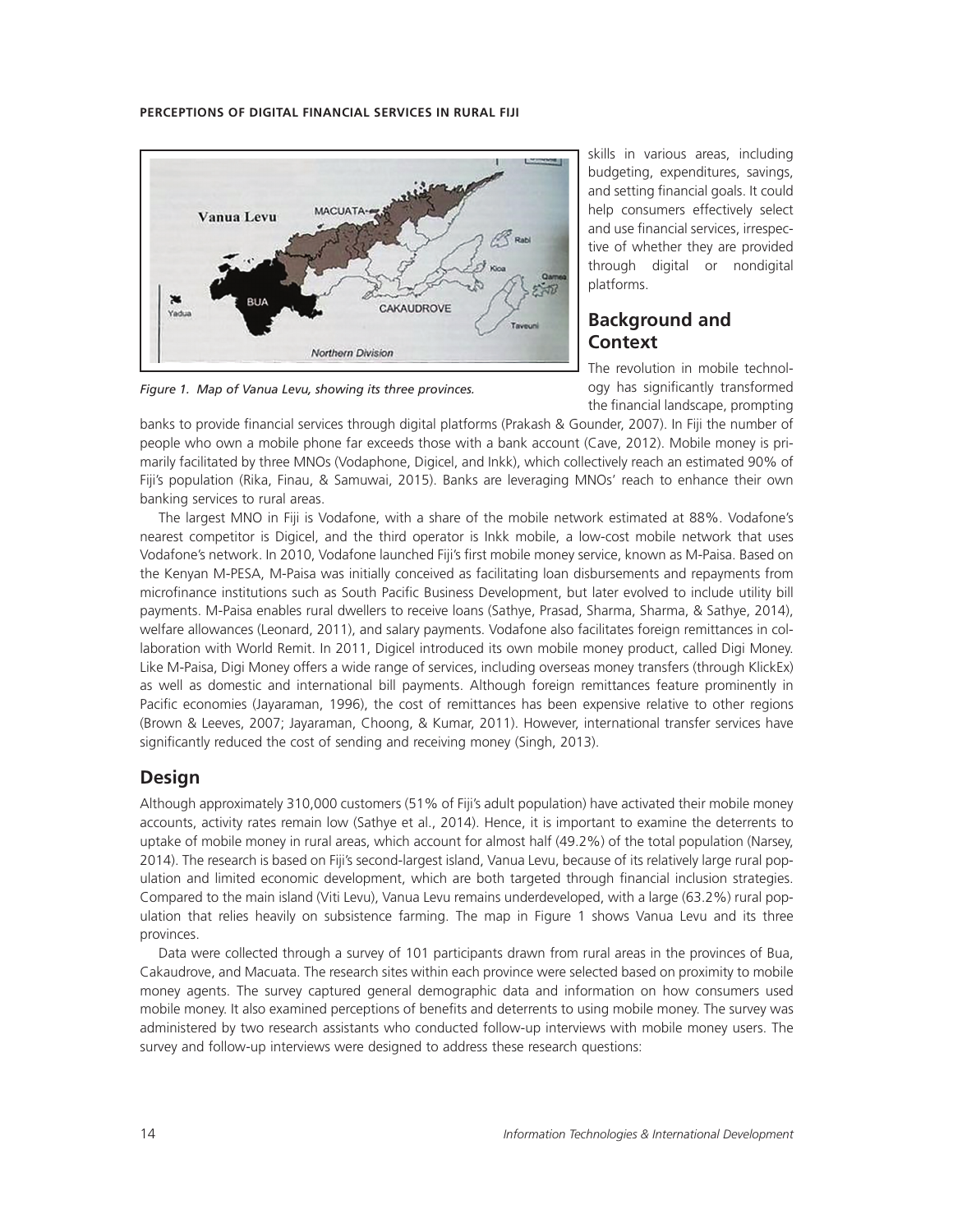

*Figure 1. Map of Vanua Levu, showing its three provinces.*

skills in various areas, including budgeting, expenditures, savings, and setting financial goals. It could help consumers effectively select and use financial services, irrespective of whether they are provided through digital or nondigital platforms.

# **Background and Context**

The revolution in mobile technology has significantly transformed the financial landscape, prompting

banks to provide financial services through digital platforms (Prakash & Gounder, 2007). In Fiji the number of people who own a mobile phone far exceeds those with a bank account (Cave, 2012). Mobile money is primarily facilitated by three MNOs (Vodaphone, Digicel, and Inkk), which collectively reach an estimated 90% of Fiji's population (Rika, Finau, & Samuwai, 2015). Banks are leveraging MNOs' reach to enhance their own banking services to rural areas.

The largest MNO in Fiji is Vodafone, with a share of the mobile network estimated at 88%. Vodafone's nearest competitor is Digicel, and the third operator is Inkk mobile, a low-cost mobile network that uses Vodafone's network. In 2010, Vodafone launched Fiji's first mobile money service, known as M-Paisa. Based on the Kenyan M-PESA, M-Paisa was initially conceived as facilitating loan disbursements and repayments from microfinance institutions such as South Pacific Business Development, but later evolved to include utility bill payments. M-Paisa enables rural dwellers to receive loans (Sathye, Prasad, Sharma, Sharma, & Sathye, 2014), welfare allowances (Leonard, 2011), and salary payments. Vodafone also facilitates foreign remittances in collaboration with World Remit. In 2011, Digicel introduced its own mobile money product, called Digi Money. Like M-Paisa, Digi Money offers a wide range of services, including overseas money transfers (through KlickEx) as well as domestic and international bill payments. Although foreign remittances feature prominently in Pacific economies (Jayaraman, 1996), the cost of remittances has been expensive relative to other regions (Brown & Leeves, 2007; Jayaraman, Choong, & Kumar, 2011). However, international transfer services have significantly reduced the cost of sending and receiving money (Singh, 2013).

# **Design**

Although approximately 310,000 customers (51% of Fiji's adult population) have activated their mobile money accounts, activity rates remain low (Sathye et al., 2014). Hence, it is important to examine the deterrents to uptake of mobile money in rural areas, which account for almost half (49.2%) of the total population (Narsey, 2014). The research is based on Fiji's second-largest island, Vanua Levu, because of its relatively large rural population and limited economic development, which are both targeted through financial inclusion strategies. Compared to the main island (Viti Levu), Vanua Levu remains underdeveloped, with a large (63.2%) rural population that relies heavily on subsistence farming. The map in Figure 1 shows Vanua Levu and its three provinces.

Data were collected through a survey of 101 participants drawn from rural areas in the provinces of Bua, Cakaudrove, and Macuata. The research sites within each province were selected based on proximity to mobile money agents. The survey captured general demographic data and information on how consumers used mobile money. It also examined perceptions of benefits and deterrents to using mobile money. The survey was administered by two research assistants who conducted follow-up interviews with mobile money users. The survey and follow-up interviews were designed to address these research questions: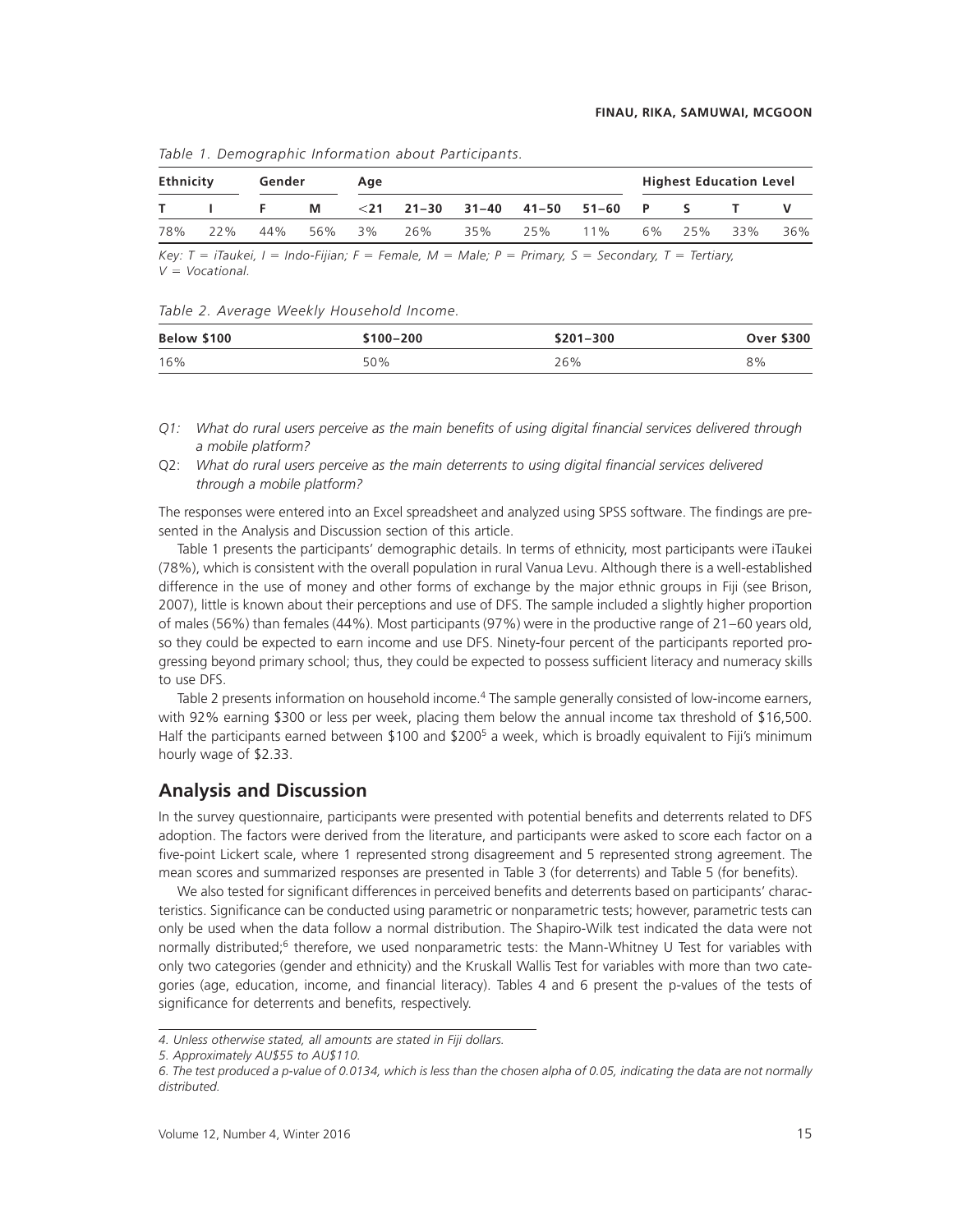| Ethnicity |  | Gender |   | Aae |                                           |  |  | <b>Highest Education Level</b> |  |  |  |     |
|-----------|--|--------|---|-----|-------------------------------------------|--|--|--------------------------------|--|--|--|-----|
|           |  |        | M |     | $<$ 21 21–30 31–40 41–50 51–60 P S        |  |  |                                |  |  |  |     |
| 78%       |  |        |   |     | 22% 44% 56% 3% 26% 35% 25% 11% 6% 25% 33% |  |  |                                |  |  |  | 36% |

*Table 1. Demographic Information about Participants.*

*Key: T iTaukei, I Indo-Fijian; F Female, M Male; P Primary, S Secondary, T Tertiary, V Vocational.*

*Table 2. Average Weekly Household Income.*

| Below \$100 | $$100 - 200$ | \$201-300 | <b>Over \$300</b> |
|-------------|--------------|-----------|-------------------|
| 16%         | 50%          | 26%       | 8%                |

- *Q1:* What do rural users perceive as the main benefits of using digital financial services delivered through *a mobile platform?*
- Q2: What do rural users perceive as the main deterrents to using digital financial services delivered *through a mobile platform?*

The responses were entered into an Excel spreadsheet and analyzed using SPSS software. The findings are presented in the Analysis and Discussion section of this article.

Table 1 presents the participants' demographic details. In terms of ethnicity, most participants were iTaukei (78%), which is consistent with the overall population in rural Vanua Levu. Although there is a well-established difference in the use of money and other forms of exchange by the major ethnic groups in Fiji (see Brison, 2007), little is known about their perceptions and use of DFS. The sample included a slightly higher proportion of males (56%) than females (44%). Most participants (97%) were in the productive range of 21–60 years old, so they could be expected to earn income and use DFS. Ninety-four percent of the participants reported progressing beyond primary school; thus, they could be expected to possess sufficient literacy and numeracy skills to use DFS.

Table 2 presents information on household income.<sup>4</sup> The sample generally consisted of low-income earners, with 92% earning \$300 or less per week, placing them below the annual income tax threshold of \$16,500. Half the participants earned between \$100 and \$200<sup>5</sup> a week, which is broadly equivalent to Fiji's minimum hourly wage of \$2.33.

## **Analysis and Discussion**

In the survey questionnaire, participants were presented with potential benefits and deterrents related to DFS adoption. The factors were derived from the literature, and participants were asked to score each factor on a five-point Lickert scale, where 1 represented strong disagreement and 5 represented strong agreement. The mean scores and summarized responses are presented in Table 3 (for deterrents) and Table 5 (for benefits).

We also tested for significant differences in perceived benefits and deterrents based on participants' characteristics. Significance can be conducted using parametric or nonparametric tests; however, parametric tests can only be used when the data follow a normal distribution. The Shapiro-Wilk test indicated the data were not normally distributed;<sup>6</sup> therefore, we used nonparametric tests: the Mann-Whitney U Test for variables with only two categories (gender and ethnicity) and the Kruskall Wallis Test for variables with more than two categories (age, education, income, and financial literacy). Tables 4 and 6 present the p-values of the tests of significance for deterrents and benefits, respectively.

*<sup>4.</sup> Unless otherwise stated, all amounts are stated in Fiji dollars.*

*<sup>5.</sup> Approximately AU\$55 to AU\$110.*

*<sup>6.</sup> The test produced a p-value of 0.0134, which is less than the chosen alpha of 0.05, indicating the data are not normally distributed.*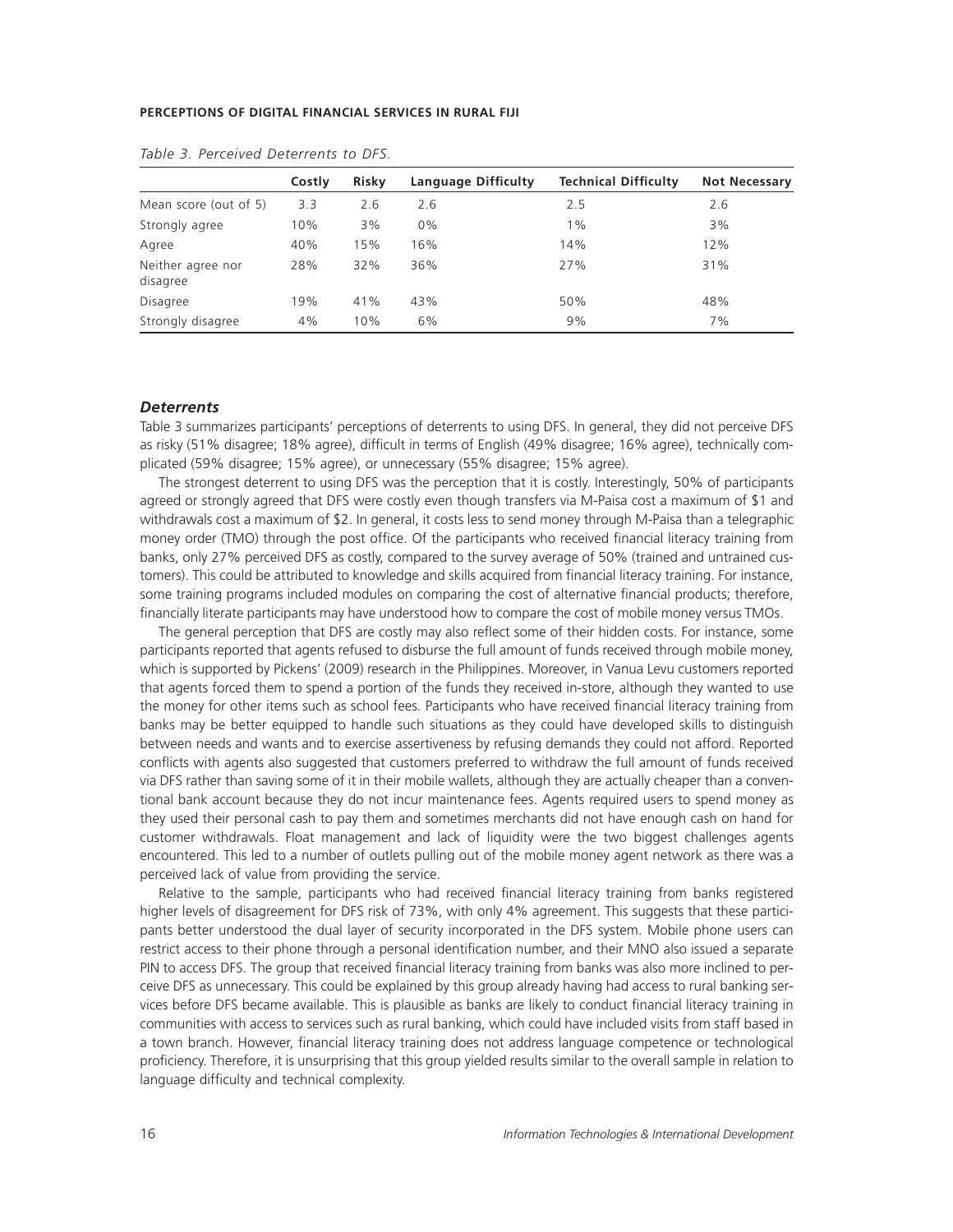|                               | Costly | <b>Risky</b> | Language Difficulty | <b>Technical Difficulty</b> | <b>Not Necessary</b> |
|-------------------------------|--------|--------------|---------------------|-----------------------------|----------------------|
| Mean score (out of 5)         | 3.3    | 2.6          | 2.6                 | 2.5                         | 2.6                  |
| Strongly agree                | 10%    | 3%           | $0\%$               | $1\%$                       | 3%                   |
| Agree                         | 40%    | 15%          | 16%                 | 14%                         | 12%                  |
| Neither agree nor<br>disagree | 28%    | 32%          | 36%                 | 27%                         | 31%                  |
| <b>Disagree</b>               | 19%    | 41%          | 43%                 | 50%                         | 48%                  |
| Strongly disagree             | 4%     | 10%          | 6%                  | 9%                          | 7%                   |

*Table 3. Perceived Deterrents to DFS.*

#### *Deterrents*

Table 3 summarizes participants' perceptions of deterrents to using DFS. In general, they did not perceive DFS as risky (51% disagree; 18% agree), difficult in terms of English (49% disagree; 16% agree), technically complicated (59% disagree; 15% agree), or unnecessary (55% disagree; 15% agree).

The strongest deterrent to using DFS was the perception that it is costly. Interestingly, 50% of participants agreed or strongly agreed that DFS were costly even though transfers via M-Paisa cost a maximum of \$1 and withdrawals cost a maximum of \$2. In general, it costs less to send money through M-Paisa than a telegraphic money order (TMO) through the post office. Of the participants who received financial literacy training from banks, only 27% perceived DFS as costly, compared to the survey average of 50% (trained and untrained customers). This could be attributed to knowledge and skills acquired from financial literacy training. For instance, some training programs included modules on comparing the cost of alternative financial products; therefore, financially literate participants may have understood how to compare the cost of mobile money versus TMOs.

The general perception that DFS are costly may also reflect some of their hidden costs. For instance, some participants reported that agents refused to disburse the full amount of funds received through mobile money, which is supported by Pickens' (2009) research in the Philippines. Moreover, in Vanua Levu customers reported that agents forced them to spend a portion of the funds they received in-store, although they wanted to use the money for other items such as school fees. Participants who have received financial literacy training from banks may be better equipped to handle such situations as they could have developed skills to distinguish between needs and wants and to exercise assertiveness by refusing demands they could not afford. Reported conflicts with agents also suggested that customers preferred to withdraw the full amount of funds received via DFS rather than saving some of it in their mobile wallets, although they are actually cheaper than a conventional bank account because they do not incur maintenance fees. Agents required users to spend money as they used their personal cash to pay them and sometimes merchants did not have enough cash on hand for customer withdrawals. Float management and lack of liquidity were the two biggest challenges agents encountered. This led to a number of outlets pulling out of the mobile money agent network as there was a perceived lack of value from providing the service.

Relative to the sample, participants who had received financial literacy training from banks registered higher levels of disagreement for DFS risk of 73%, with only 4% agreement. This suggests that these participants better understood the dual layer of security incorporated in the DFS system. Mobile phone users can restrict access to their phone through a personal identification number, and their MNO also issued a separate PIN to access DFS. The group that received financial literacy training from banks was also more inclined to perceive DFS as unnecessary. This could be explained by this group already having had access to rural banking services before DFS became available. This is plausible as banks are likely to conduct financial literacy training in communities with access to services such as rural banking, which could have included visits from staff based in a town branch. However, financial literacy training does not address language competence or technological proficiency. Therefore, it is unsurprising that this group yielded results similar to the overall sample in relation to language difficulty and technical complexity.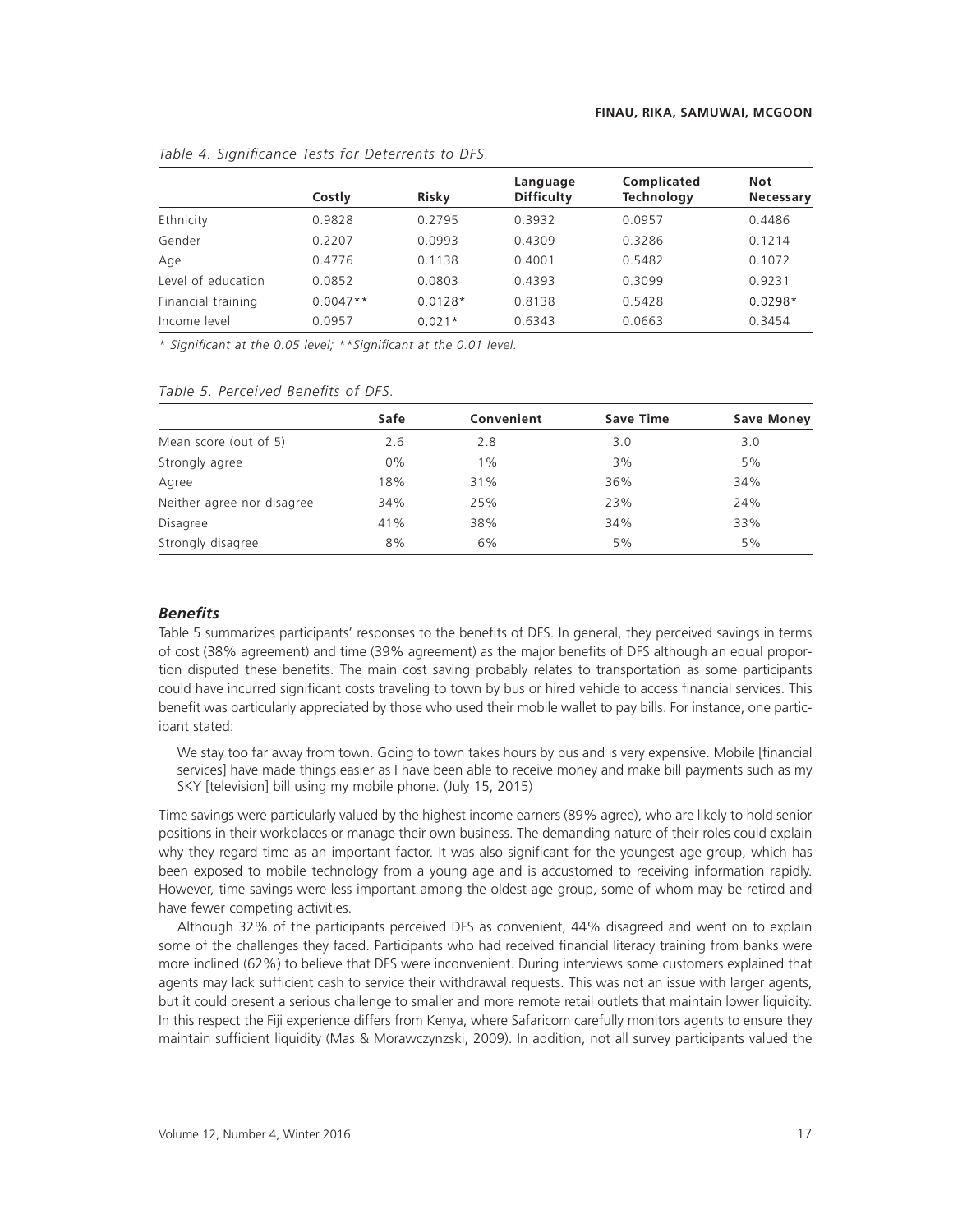|                    | Costly     | Risky     | Language<br><b>Difficulty</b> | Complicated<br>Technology | <b>Not</b><br>Necessary |
|--------------------|------------|-----------|-------------------------------|---------------------------|-------------------------|
| Ethnicity          | 0.9828     | 0.2795    | 0.3932                        | 0.0957                    | 0.4486                  |
| Gender             | 0.2207     | 0.0993    | 0.4309                        | 0.3286                    | 0.1214                  |
| Age                | 0.4776     | 0.1138    | 0.4001                        | 0.5482                    | 0.1072                  |
| Level of education | 0.0852     | 0.0803    | 0.4393                        | 0.3099                    | 0.9231                  |
| Financial training | $0.0047**$ | $0.0128*$ | 0.8138                        | 0.5428                    | $0.0298*$               |
| Income level       | 0.0957     | $0.021*$  | 0.6343                        | 0.0663                    | 0.3454                  |

#### Table 4. Significance Tests for Deterrents to DFS.

*\* Signiªcant at the 0.05 level; \*\*Signiªcant at the 0.01 level.*

|  | Table 5. Perceived Benefits of DFS. |  |  |
|--|-------------------------------------|--|--|
|  |                                     |  |  |

|                            | Safe  | Convenient | <b>Save Time</b> | <b>Save Money</b> |
|----------------------------|-------|------------|------------------|-------------------|
| Mean score (out of 5)      | 2.6   | 2.8        | 3.0              | 3.0               |
| Strongly agree             | $0\%$ | $1\%$      | 3%               | 5%                |
| Agree                      | 18%   | 31%        | 36%              | 34%               |
| Neither agree nor disagree | 34%   | 25%        | 23%              | 24%               |
| <b>Disagree</b>            | 41%   | 38%        | 34%              | 33%               |
| Strongly disagree          | 8%    | 6%         | 5%               | 5%                |

## **Benefits**

Table 5 summarizes participants' responses to the benefits of DFS. In general, they perceived savings in terms of cost (38% agreement) and time (39% agreement) as the major benefits of DFS although an equal proportion disputed these benefits. The main cost saving probably relates to transportation as some participants could have incurred significant costs traveling to town by bus or hired vehicle to access financial services. This benefit was particularly appreciated by those who used their mobile wallet to pay bills. For instance, one participant stated:

We stay too far away from town. Going to town takes hours by bus and is very expensive. Mobile [financial services] have made things easier as I have been able to receive money and make bill payments such as my SKY [television] bill using my mobile phone. (July 15, 2015)

Time savings were particularly valued by the highest income earners (89% agree), who are likely to hold senior positions in their workplaces or manage their own business. The demanding nature of their roles could explain why they regard time as an important factor. It was also significant for the youngest age group, which has been exposed to mobile technology from a young age and is accustomed to receiving information rapidly. However, time savings were less important among the oldest age group, some of whom may be retired and have fewer competing activities.

Although 32% of the participants perceived DFS as convenient, 44% disagreed and went on to explain some of the challenges they faced. Participants who had received financial literacy training from banks were more inclined (62%) to believe that DFS were inconvenient. During interviews some customers explained that agents may lack sufficient cash to service their withdrawal requests. This was not an issue with larger agents, but it could present a serious challenge to smaller and more remote retail outlets that maintain lower liquidity. In this respect the Fiji experience differs from Kenya, where Safaricom carefully monitors agents to ensure they maintain sufficient liquidity (Mas & Morawczynzski, 2009). In addition, not all survey participants valued the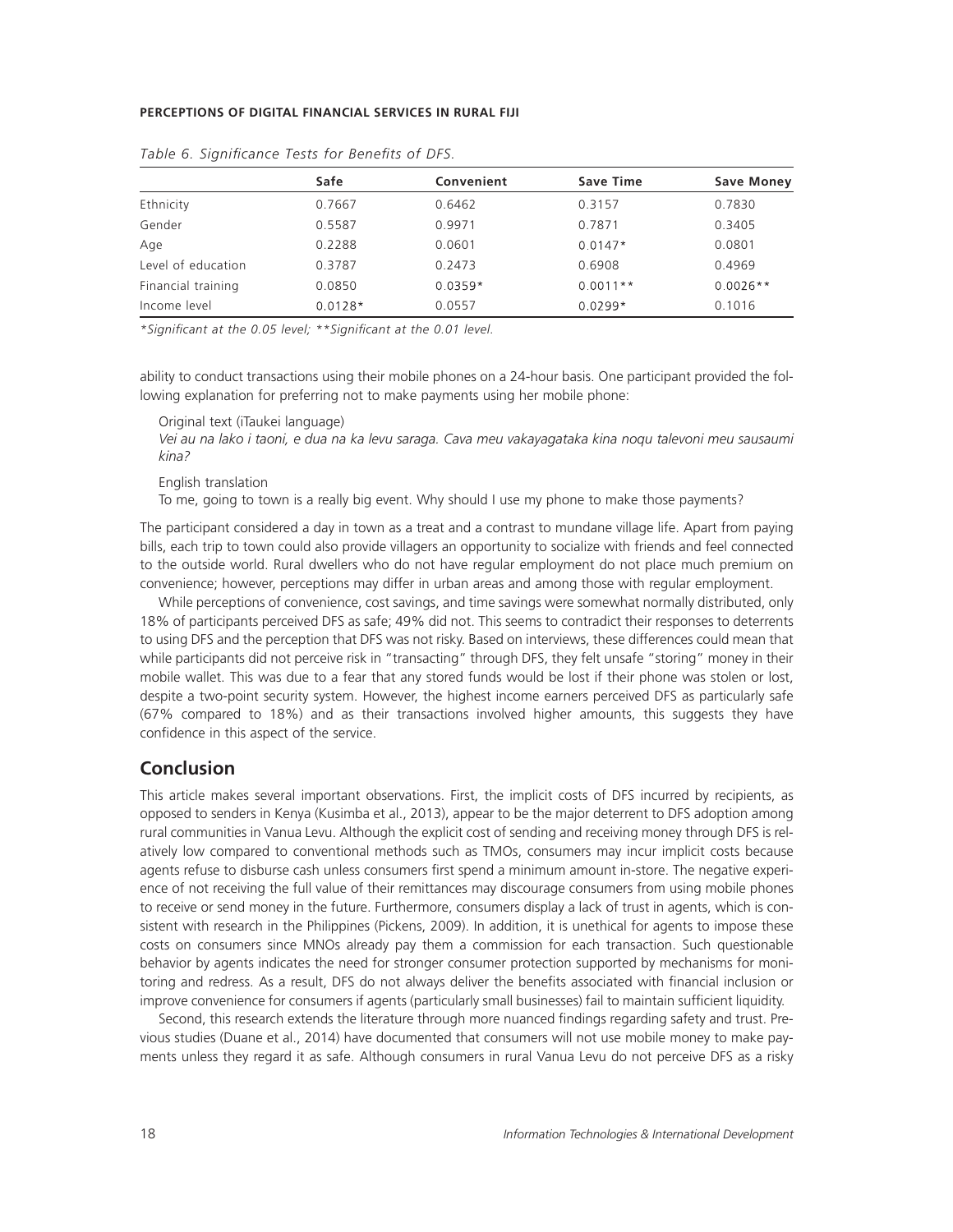|                    | Safe      | Convenient | Save Time  | <b>Save Money</b> |
|--------------------|-----------|------------|------------|-------------------|
| Ethnicity          | 0.7667    | 0.6462     | 0.3157     | 0.7830            |
| Gender             | 0.5587    | 0.9971     | 0.7871     | 0.3405            |
| Age                | 0.2288    | 0.0601     | $0.0147*$  | 0.0801            |
| Level of education | 0.3787    | 0.2473     | 0.6908     | 0.4969            |
| Financial training | 0.0850    | $0.0359*$  | $0.0011**$ | $0.0026**$        |
| Income level       | $0.0128*$ | 0.0557     | $0.0299*$  | 0.1016            |

| Table 6. Significance Tests for Benefits of DFS. |  |  |
|--------------------------------------------------|--|--|
|--------------------------------------------------|--|--|

\*Significant at the 0.05 level; \*\*Significant at the 0.01 level.

ability to conduct transactions using their mobile phones on a 24-hour basis. One participant provided the following explanation for preferring not to make payments using her mobile phone:

Original text (iTaukei language)

*Vei au na lako i taoni, e dua na ka levu saraga. Cava meu vakayagataka kina noqu talevoni meu sausaumi kina?*

English translation

To me, going to town is a really big event. Why should I use my phone to make those payments?

The participant considered a day in town as a treat and a contrast to mundane village life. Apart from paying bills, each trip to town could also provide villagers an opportunity to socialize with friends and feel connected to the outside world. Rural dwellers who do not have regular employment do not place much premium on convenience; however, perceptions may differ in urban areas and among those with regular employment.

While perceptions of convenience, cost savings, and time savings were somewhat normally distributed, only 18% of participants perceived DFS as safe; 49% did not. This seems to contradict their responses to deterrents to using DFS and the perception that DFS was not risky. Based on interviews, these differences could mean that while participants did not perceive risk in "transacting" through DFS, they felt unsafe "storing" money in their mobile wallet. This was due to a fear that any stored funds would be lost if their phone was stolen or lost, despite a two-point security system. However, the highest income earners perceived DFS as particularly safe (67% compared to 18%) and as their transactions involved higher amounts, this suggests they have confidence in this aspect of the service.

# **Conclusion**

This article makes several important observations. First, the implicit costs of DFS incurred by recipients, as opposed to senders in Kenya (Kusimba et al., 2013), appear to be the major deterrent to DFS adoption among rural communities in Vanua Levu. Although the explicit cost of sending and receiving money through DFS is relatively low compared to conventional methods such as TMOs, consumers may incur implicit costs because agents refuse to disburse cash unless consumers first spend a minimum amount in-store. The negative experience of not receiving the full value of their remittances may discourage consumers from using mobile phones to receive or send money in the future. Furthermore, consumers display a lack of trust in agents, which is consistent with research in the Philippines (Pickens, 2009). In addition, it is unethical for agents to impose these costs on consumers since MNOs already pay them a commission for each transaction. Such questionable behavior by agents indicates the need for stronger consumer protection supported by mechanisms for monitoring and redress. As a result, DFS do not always deliver the benefits associated with financial inclusion or improve convenience for consumers if agents (particularly small businesses) fail to maintain sufficient liquidity.

Second, this research extends the literature through more nuanced findings regarding safety and trust. Previous studies (Duane et al., 2014) have documented that consumers will not use mobile money to make payments unless they regard it as safe. Although consumers in rural Vanua Levu do not perceive DFS as a risky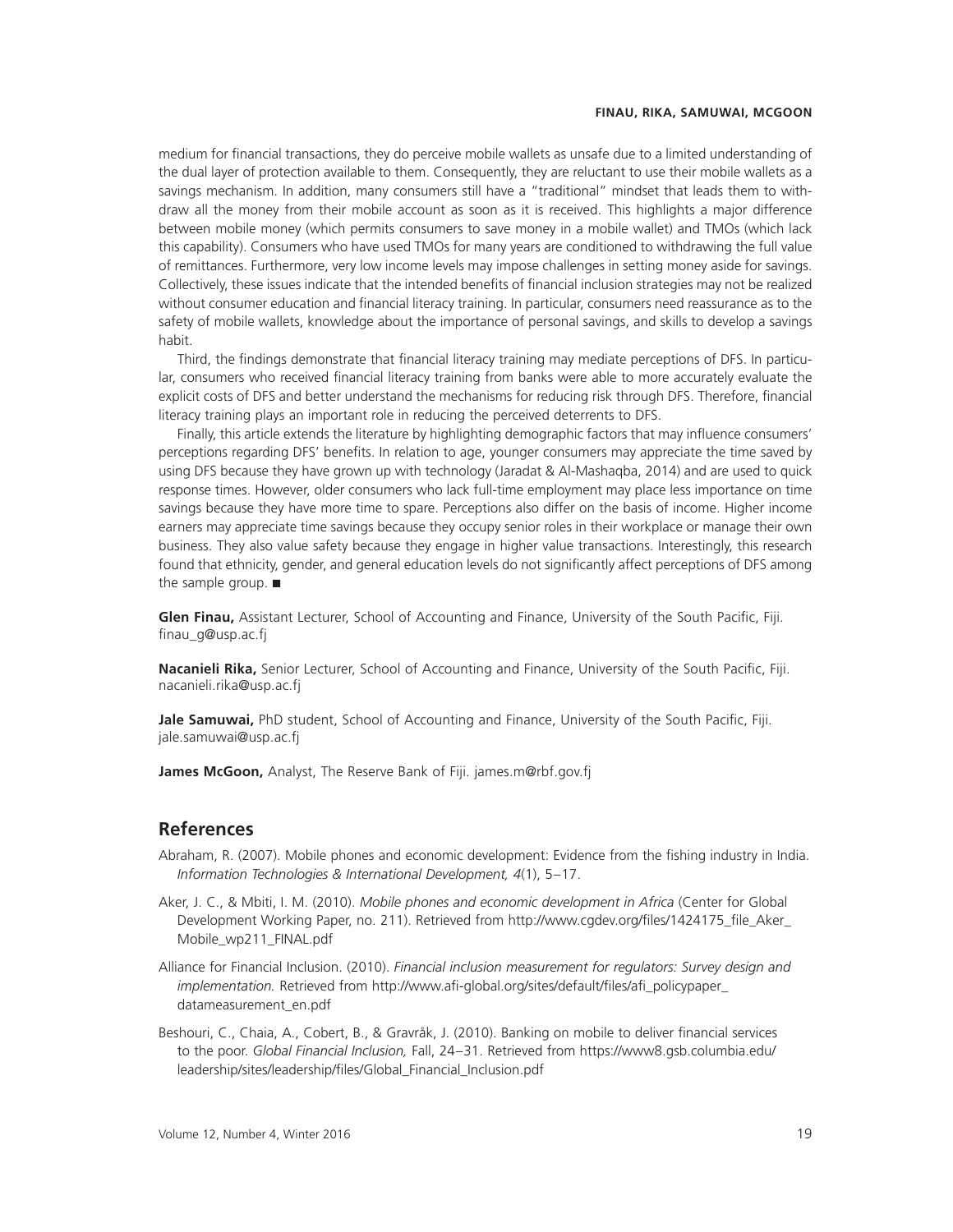medium for financial transactions, they do perceive mobile wallets as unsafe due to a limited understanding of the dual layer of protection available to them. Consequently, they are reluctant to use their mobile wallets as a savings mechanism. In addition, many consumers still have a "traditional" mindset that leads them to withdraw all the money from their mobile account as soon as it is received. This highlights a major difference between mobile money (which permits consumers to save money in a mobile wallet) and TMOs (which lack this capability). Consumers who have used TMOs for many years are conditioned to withdrawing the full value of remittances. Furthermore, very low income levels may impose challenges in setting money aside for savings. Collectively, these issues indicate that the intended benefits of financial inclusion strategies may not be realized without consumer education and financial literacy training. In particular, consumers need reassurance as to the safety of mobile wallets, knowledge about the importance of personal savings, and skills to develop a savings habit.

Third, the findings demonstrate that financial literacy training may mediate perceptions of DFS. In particular, consumers who received financial literacy training from banks were able to more accurately evaluate the explicit costs of DFS and better understand the mechanisms for reducing risk through DFS. Therefore, financial literacy training plays an important role in reducing the perceived deterrents to DFS.

Finally, this article extends the literature by highlighting demographic factors that may influence consumers' perceptions regarding DFS' benefits. In relation to age, younger consumers may appreciate the time saved by using DFS because they have grown up with technology (Jaradat & Al-Mashaqba, 2014) and are used to quick response times. However, older consumers who lack full-time employment may place less importance on time savings because they have more time to spare. Perceptions also differ on the basis of income. Higher income earners may appreciate time savings because they occupy senior roles in their workplace or manage their own business. They also value safety because they engage in higher value transactions. Interestingly, this research found that ethnicity, gender, and general education levels do not significantly affect perceptions of DFS among the sample group. ■

Glen Finau, Assistant Lecturer, School of Accounting and Finance, University of the South Pacific, Fiji. finau\_g@usp.ac.fj

Nacanieli Rika, Senior Lecturer, School of Accounting and Finance, University of the South Pacific, Fiji. nacanieli.rika@usp.ac.fj

Jale Samuwai, PhD student, School of Accounting and Finance, University of the South Pacific, Fiji. jale.samuwai@usp.ac.fj

**James McGoon,** Analyst, The Reserve Bank of Fiji. james.m@rbf.gov.fj

## **References**

- Abraham, R. (2007). Mobile phones and economic development: Evidence from the fishing industry in India. *Information Technologies & International Development, 4*(1), 5–17.
- Aker, J. C., & Mbiti, I. M. (2010). *Mobile phones and economic development in Africa* (Center for Global Development Working Paper, no. 211). Retrieved from http://www.cgdev.org/files/1424175\_file\_Aker Mobile\_wp211\_FINAL.pdf
- Alliance for Financial Inclusion. (2010). *Financial inclusion measurement for regulators: Survey design and implementation.* Retrieved from http://www.afi-global.org/sites/default/files/afi policypaper datameasurement\_en.pdf
- Beshouri, C., Chaia, A., Cobert, B., & Gravråk, J. (2010). Banking on mobile to deliver financial services to the poor. *Global Financial Inclusion,* Fall, 24–31. Retrieved from https://www8.gsb.columbia.edu/ leadership/sites/leadership/files/Global\_Financial\_Inclusion.pdf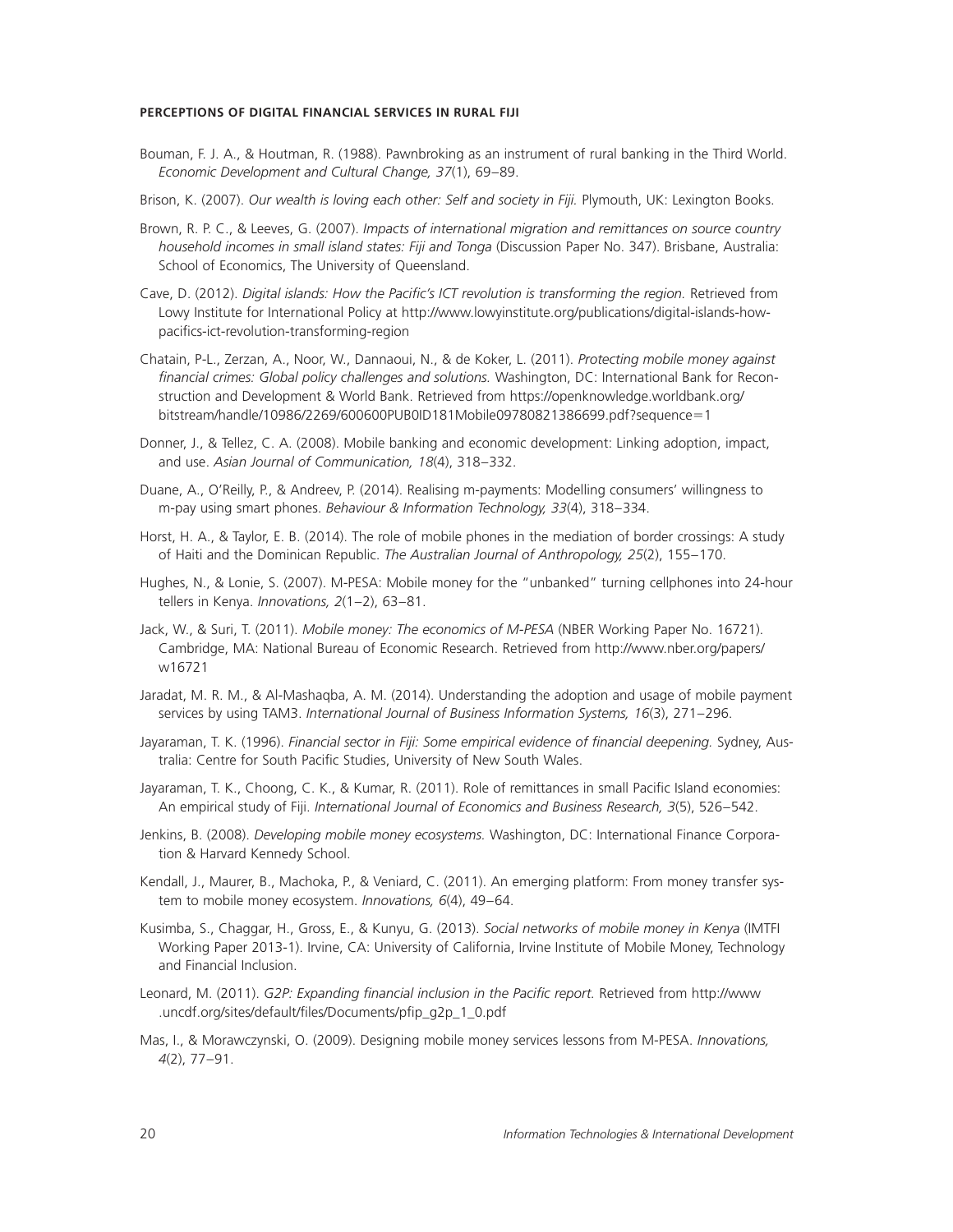- Bouman, F. J. A., & Houtman, R. (1988). Pawnbroking as an instrument of rural banking in the Third World. *Economic Development and Cultural Change, 37*(1), 69–89.
- Brison, K. (2007). *Our wealth is loving each other: Self and society in Fiji.* Plymouth, UK: Lexington Books.
- Brown, R. P. C., & Leeves, G. (2007). *Impacts of international migration and remittances on source country household incomes in small island states: Fiji and Tonga* (Discussion Paper No. 347). Brisbane, Australia: School of Economics, The University of Queensland.
- Cave, D. (2012). *Digital islands: How the Pacific's ICT revolution is transforming the region*. Retrieved from Lowy Institute for International Policy at http://www.lowyinstitute.org/publications/digital-islands-howpacifics-ict-revolution-transforming-region
- Chatain, P-L., Zerzan, A., Noor, W., Dannaoui, N., & de Koker, L. (2011). *Protecting mobile money against ªnancial crimes: Global policy challenges and solutions.* Washington, DC: International Bank for Reconstruction and Development & World Bank. Retrieved from https://openknowledge.worldbank.org/ bitstream/handle/10986/2269/600600PUB0ID181Mobile09780821386699.pdf?sequence-1
- Donner, J., & Tellez, C. A. (2008). Mobile banking and economic development: Linking adoption, impact, and use. *Asian Journal of Communication, 18*(4), 318–332.
- Duane, A., O'Reilly, P., & Andreev, P. (2014). Realising m-payments: Modelling consumers' willingness to m-pay using smart phones. *Behaviour & Information Technology, 33*(4), 318–334.
- Horst, H. A., & Taylor, E. B. (2014). The role of mobile phones in the mediation of border crossings: A study of Haiti and the Dominican Republic. *The Australian Journal of Anthropology, 25*(2), 155–170.
- Hughes, N., & Lonie, S. (2007). M-PESA: Mobile money for the "unbanked" turning cellphones into 24-hour tellers in Kenya. *Innovations, 2*(1–2), 63–81.
- Jack, W., & Suri, T. (2011). *Mobile money: The economics of M-PESA* (NBER Working Paper No. 16721). Cambridge, MA: National Bureau of Economic Research. Retrieved from http://www.nber.org/papers/ w16721
- Jaradat, M. R. M., & Al-Mashaqba, A. M. (2014). Understanding the adoption and usage of mobile payment services by using TAM3. *International Journal of Business Information Systems, 16*(3), 271–296.
- Jayaraman, T. K. (1996). *Financial sector in Fiji: Some empirical evidence of financial deepening. Sydney, Aus*tralia: Centre for South Pacific Studies, University of New South Wales.
- Jayaraman, T. K., Choong, C. K., & Kumar, R. (2011). Role of remittances in small Pacific Island economies: An empirical study of Fiji. *International Journal of Economics and Business Research, 3*(5), 526–542.
- Jenkins, B. (2008). *Developing mobile money ecosystems.* Washington, DC: International Finance Corporation & Harvard Kennedy School.
- Kendall, J., Maurer, B., Machoka, P., & Veniard, C. (2011). An emerging platform: From money transfer system to mobile money ecosystem. *Innovations, 6*(4), 49–64.
- Kusimba, S., Chaggar, H., Gross, E., & Kunyu, G. (2013). *Social networks of mobile money in Kenya* (IMTFI Working Paper 2013-1). Irvine, CA: University of California, Irvine Institute of Mobile Money, Technology and Financial Inclusion.
- Leonard, M. (2011). *G2P: Expanding financial inclusion in the Pacific report*. Retrieved from http://www .uncdf.org/sites/default/files/Documents/pfip\_g2p\_1\_0.pdf
- Mas, I., & Morawczynski, O. (2009). Designing mobile money services lessons from M-PESA. *Innovations, 4*(2), 77–91.